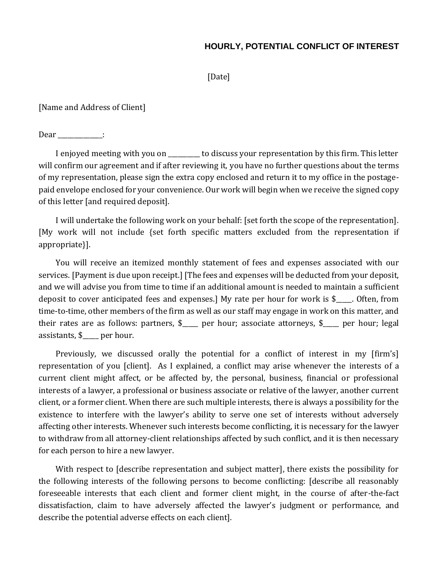## **HOURLY, POTENTIAL CONFLICT OF INTEREST**

[Date]

[Name and Address of Client]

Dear \_\_\_\_\_\_\_\_\_\_\_\_\_:

I enjoyed meeting with you on \_\_\_\_\_\_\_\_\_\_ to discuss your representation by this firm. This letter will confirm our agreement and if after reviewing it, you have no further questions about the terms of my representation, please sign the extra copy enclosed and return it to my office in the postagepaid envelope enclosed for your convenience. Our work will begin when we receive the signed copy of this letter [and required deposit].

I will undertake the following work on your behalf: [set forth the scope of the representation]. [My work will not include {set forth specific matters excluded from the representation if appropriate}].

You will receive an itemized monthly statement of fees and expenses associated with our services. [Payment is due upon receipt.] [The fees and expenses will be deducted from your deposit, and we will advise you from time to time if an additional amount is needed to maintain a sufficient deposit to cover anticipated fees and expenses.] My rate per hour for work is \$\_\_\_\_\_. Often, from time-to-time, other members of the firm as well as our staff may engage in work on this matter, and their rates are as follows: partners, \$\_\_\_\_\_ per hour; associate attorneys, \$\_\_\_\_\_ per hour; legal assistants, \$\_\_\_\_\_ per hour.

Previously, we discussed orally the potential for a conflict of interest in my [firm's] representation of you [client]. As I explained, a conflict may arise whenever the interests of a current client might affect, or be affected by, the personal, business, financial or professional interests of a lawyer, a professional or business associate or relative of the lawyer, another current client, or a former client. When there are such multiple interests, there is always a possibility for the existence to interfere with the lawyer's ability to serve one set of interests without adversely affecting other interests. Whenever such interests become conflicting, it is necessary for the lawyer to withdraw from all attorney-client relationships affected by such conflict, and it is then necessary for each person to hire a new lawyer.

With respect to [describe representation and subject matter], there exists the possibility for the following interests of the following persons to become conflicting: [describe all reasonably foreseeable interests that each client and former client might, in the course of after-the-fact dissatisfaction, claim to have adversely affected the lawyer's judgment or performance, and describe the potential adverse effects on each client].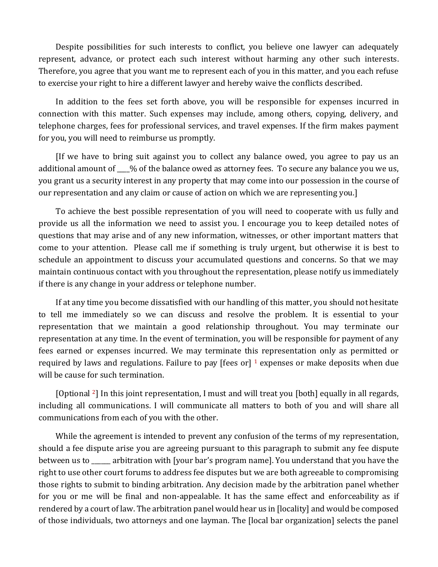Despite possibilities for such interests to conflict, you believe one lawyer can adequately represent, advance, or protect each such interest without harming any other such interests. Therefore, you agree that you want me to represent each of you in this matter, and you each refuse to exercise your right to hire a different lawyer and hereby waive the conflicts described.

In addition to the fees set forth above, you will be responsible for expenses incurred in connection with this matter. Such expenses may include, among others, copying, delivery, and telephone charges, fees for professional services, and travel expenses. If the firm makes payment for you, you will need to reimburse us promptly.

[If we have to bring suit against you to collect any balance owed, you agree to pay us an additional amount of \_\_\_\_% of the balance owed as attorney fees. To secure any balance you we us, you grant us a security interest in any property that may come into our possession in the course of our representation and any claim or cause of action on which we are representing you.]

To achieve the best possible representation of you will need to cooperate with us fully and provide us all the information we need to assist you. I encourage you to keep detailed notes of questions that may arise and of any new information, witnesses, or other important matters that come to your attention. Please call me if something is truly urgent, but otherwise it is best to schedule an appointment to discuss your accumulated questions and concerns. So that we may maintain continuous contact with you throughout the representation, please notify us immediately if there is any change in your address or telephone number.

If at any time you become dissatisfied with our handling of this matter, you should not hesitate to tell me immediately so we can discuss and resolve the problem. It is essential to your representation that we maintain a good relationship throughout. You may terminate our representation at any time. In the event of termination, you will be responsible for payment of any fees earned or expenses incurred. We may terminate this representation only as permitted or required by laws and regulations. Failure to pay [fees or]  $1$  expenses or make deposits when due will be cause for such termination.

[Optional 2] In this joint representation, I must and will treat you [both] equally in all regards, including all communications. I will communicate all matters to both of you and will share all communications from each of you with the other.

While the agreement is intended to prevent any confusion of the terms of my representation, should a fee dispute arise you are agreeing pursuant to this paragraph to submit any fee dispute between us to \_\_\_\_\_\_ arbitration with [your bar's program name]. You understand that you have the right to use other court forums to address fee disputes but we are both agreeable to compromising those rights to submit to binding arbitration. Any decision made by the arbitration panel whether for you or me will be final and non-appealable. It has the same effect and enforceability as if rendered by a court of law. The arbitration panel would hear us in [locality] and would be composed of those individuals, two attorneys and one layman. The [local bar organization] selects the panel